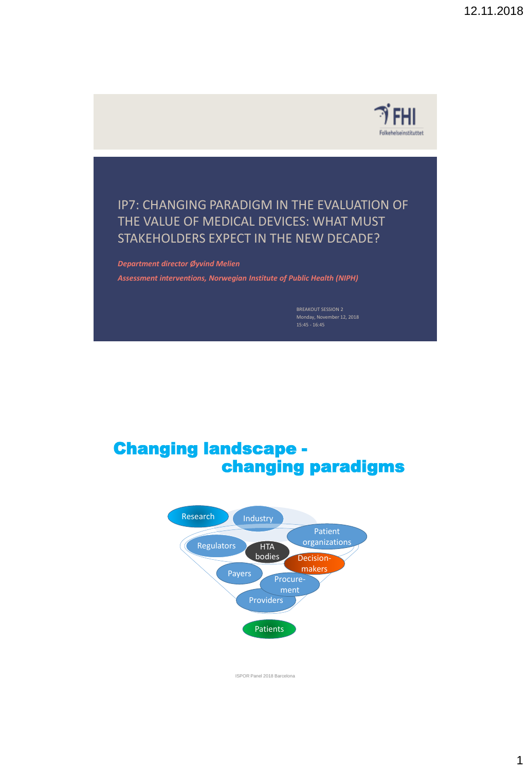

### IP7: CHANGING PARADIGM IN THE EVALUATION OF THE VALUE OF MEDICAL DEVICES: WHAT MUST STAKEHOLDERS EXPECT IN THE NEW DECADE?

*Department director Øyvind Melien*

*Assessment interventions, Norwegian Institute of Public Health (NIPH)*

BREAKOUT SESSION 2 Monday, November 12, 2018 15:45 - 16:45

## Changing landscape changing paradigms

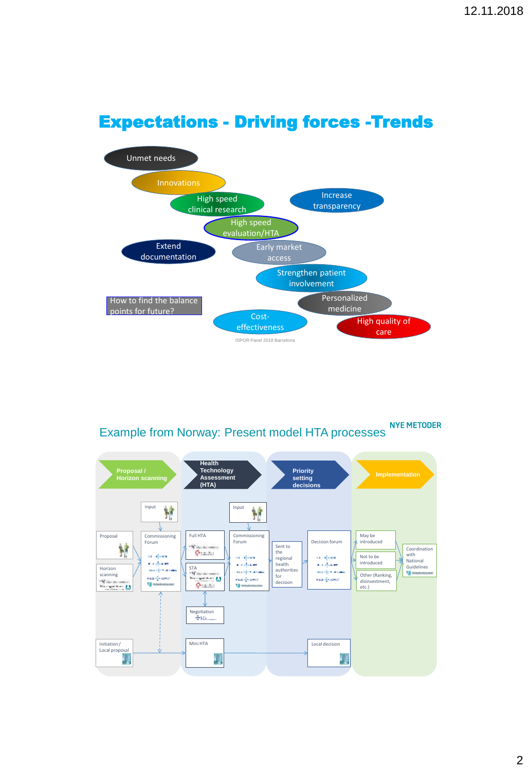

# Expectations - Driving forces -Trends

**Example from Norway: Present model HTA processes** 

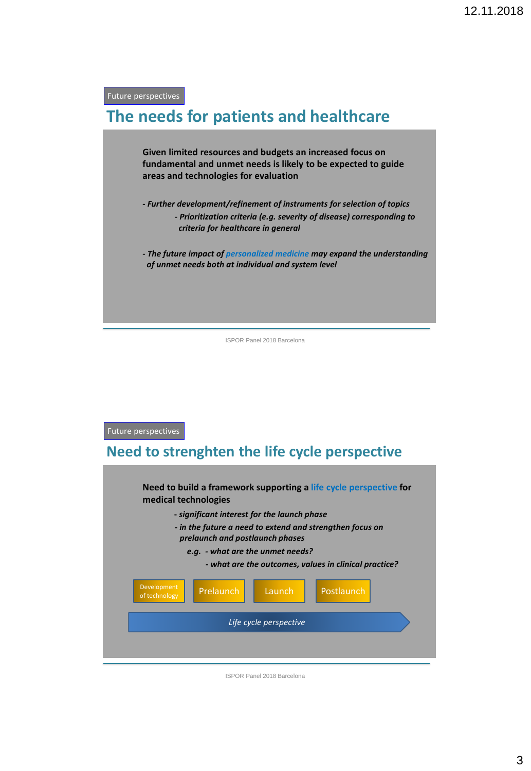Future perspectives

## **The needs for patients and healthcare**

**Given limited resources and budgets an increased focus on fundamental and unmet needs is likely to be expected to guide areas and technologies for evaluation**

**-** *Further development/refinement of instruments for selection of topics - Prioritization criteria (e.g. severity of disease) corresponding to criteria for healthcare in general*

*- The future impact of personalized medicine may expand the understanding of unmet needs both at individual and system level*

ISPOR Panel 2018 Barcelona

### Future perspectives

### **Need to strenghten the life cycle perspective**

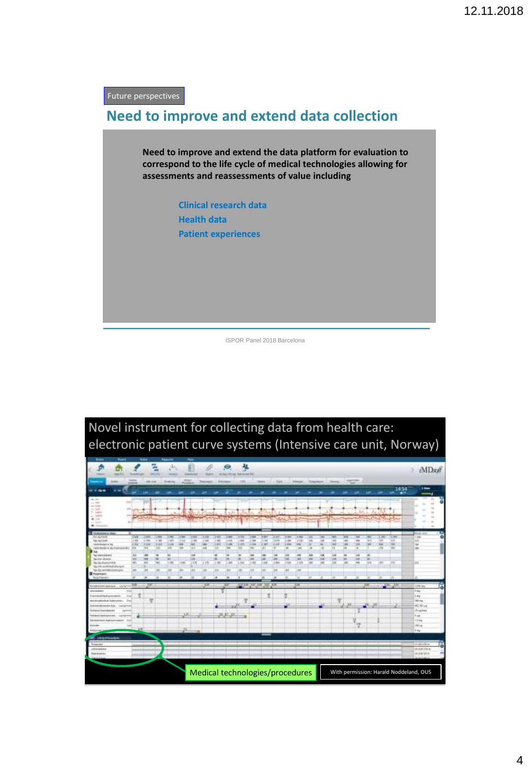Future perspectives

### **Need to improve and extend data collection**

**Need to improve and extend the data platform for evaluation to correspond to the life cycle of medical technologies allowing for assessments and reassessments of value including**

> **Clinical research data Health data Patient experiences**

> > ISPOR Panel 2018 Barcelona



# Novel instrument for collecting data from health care: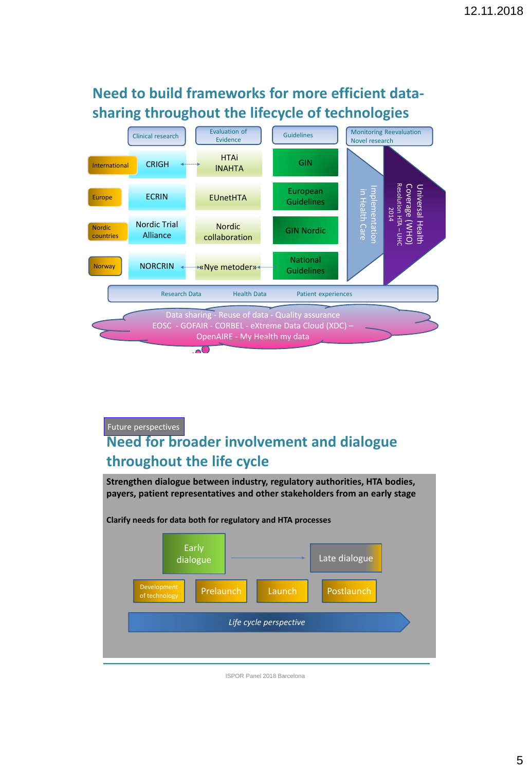## **Need to build frameworks for more efficient datasharing throughout the lifecycle of technologies**



Future perspectives

## **Need for broader involvement and dialogue throughout the life cycle**

**Strengthen dialogue between industry, regulatory authorities, HTA bodies, payers, patient representatives and other stakeholders from an early stage**